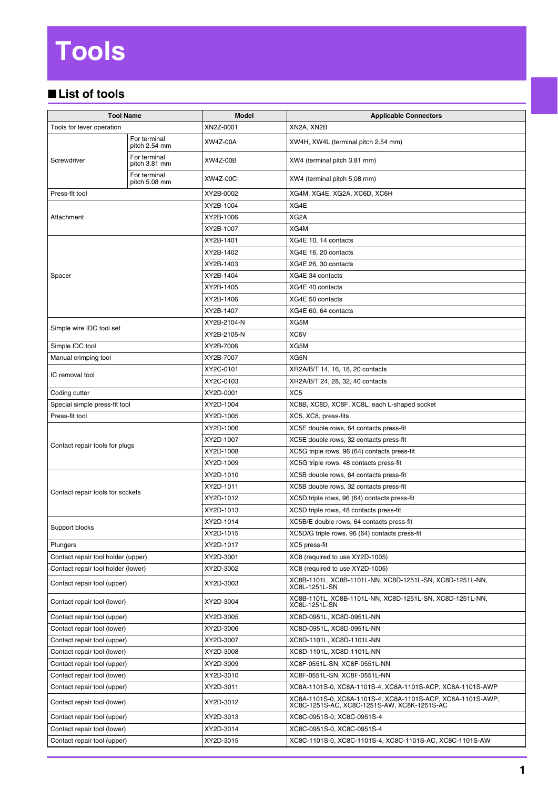## **Tools**

## ■**List of tools**

| <b>Tool Name</b>                   |                               | <b>Model</b>    | <b>Applicable Connectors</b>                                                                               |
|------------------------------------|-------------------------------|-----------------|------------------------------------------------------------------------------------------------------------|
| Tools for lever operation          |                               | XN2Z-0001       | XN2A, XN2B                                                                                                 |
| Screwdriver                        | For terminal<br>pitch 2.54 mm | XW4Z-00A        | XW4H, XW4L (terminal pitch 2.54 mm)                                                                        |
|                                    | For terminal<br>pitch 3.81 mm | <b>XW4Z-00B</b> | XW4 (terminal pitch 3.81 mm)                                                                               |
|                                    | For terminal<br>pitch 5.08 mm | XW4Z-00C        | XW4 (terminal pitch 5.08 mm)                                                                               |
| Press-fit tool                     |                               | XY2B-0002       | XG4M, XG4E, XG2A, XC6D, XC6H                                                                               |
| Attachment                         |                               | XY2B-1004       | XG4E                                                                                                       |
|                                    |                               | XY2B-1006       | XG2A                                                                                                       |
|                                    |                               | XY2B-1007       | XG4M                                                                                                       |
| Spacer                             |                               | XY2B-1401       | XG4E 10, 14 contacts                                                                                       |
|                                    |                               | XY2B-1402       | XG4E 16, 20 contacts                                                                                       |
|                                    |                               | XY2B-1403       | XG4E 26, 30 contacts                                                                                       |
|                                    |                               | XY2B-1404       | XG4E 34 contacts                                                                                           |
|                                    |                               | XY2B-1405       | XG4E 40 contacts                                                                                           |
|                                    |                               | XY2B-1406       | XG4E 50 contacts                                                                                           |
|                                    |                               | XY2B-1407       | XG4E 60, 64 contacts                                                                                       |
|                                    |                               | XY2B-2104-N     | XG5M                                                                                                       |
| Simple wire IDC tool set           |                               | XY2B-2105-N     | XC6V                                                                                                       |
| Simple IDC tool                    |                               | XY2B-7006       | XG5M                                                                                                       |
| Manual crimping tool               |                               | XY2B-7007       | XG5N                                                                                                       |
| IC removal tool                    |                               | XY2C-0101       | XR2A/B/T 14, 16, 18, 20 contacts                                                                           |
|                                    |                               | XY2C-0103       | XR2A/B/T 24, 28, 32, 40 contacts                                                                           |
| Coding cutter                      |                               | XY2D-0001       | XC <sub>5</sub>                                                                                            |
| Special simple press-fit tool      |                               | XY2D-1004       | XC8B, XC8D, XC8F, XC8L, each L-shaped socket                                                               |
| Press-fit tool                     |                               | XY2D-1005       | XC5, XC8, press-fits                                                                                       |
|                                    |                               | XY2D-1006       | XC5E double rows, 64 contacts press-fit                                                                    |
| Contact repair tools for plugs     |                               | XY2D-1007       | XC5E double rows, 32 contacts press-fit                                                                    |
|                                    |                               | XY2D-1008       | XC5G triple rows, 96 (64) contacts press-fit                                                               |
|                                    |                               | XY2D-1009       | XC5G triple rows, 48 contacts press-fit                                                                    |
| Contact repair tools for sockets   |                               | XY2D-1010       | XC5B double rows, 64 contacts press-fit                                                                    |
|                                    |                               | XY2D-1011       | XC5B double rows, 32 contacts press-fit                                                                    |
|                                    |                               | XY2D-1012       | XC5D triple rows, 96 (64) contacts press-fit                                                               |
|                                    |                               | XY2D-1013       | XC5D triple rows, 48 contacts press-fit                                                                    |
| Support blocks                     |                               | XY2D-1014       | XC5B/E double rows, 64 contacts press-fit                                                                  |
|                                    |                               | XY2D-1015       | XC5D/G triple rows, 96 (64) contacts press-fit                                                             |
| Plungers                           |                               | XY2D-1017       | XC5 press-fit                                                                                              |
| Contact repair tool holder (upper) |                               | XY2D-3001       | XC8 (required to use XY2D-1005)                                                                            |
| Contact repair tool holder (lower) |                               | XY2D-3002       | XC8 (required to use XY2D-1005)                                                                            |
| Contact repair tool (upper)        |                               | XY2D-3003       | XC8B-1101L, XC8B-1101L-NN, XC8D-1251L-SN, XC8D-1251L-NN,<br>XC8L-1251L-SN                                  |
| Contact repair tool (lower)        |                               | XY2D-3004       | XC8B-1101L, XC8B-1101L-NN, XC8D-1251L-SN, XC8D-1251L-NN,<br>XC8L-1251L-SN                                  |
| Contact repair tool (upper)        |                               | XY2D-3005       | XC8D-0951L, XC8D-0951L-NN                                                                                  |
| Contact repair tool (lower)        |                               | XY2D-3006       | XC8D-0951L, XC8D-0951L-NN                                                                                  |
| Contact repair tool (upper)        |                               | XY2D-3007       | XC8D-1101L, XC8D-1101L-NN                                                                                  |
| Contact repair tool (lower)        |                               | XY2D-3008       | XC8D-1101L, XC8D-1101L-NN                                                                                  |
| Contact repair tool (upper)        |                               | XY2D-3009       | XC8F-0551L-SN, XC8F-0551L-NN                                                                               |
| Contact repair tool (lower)        |                               | XY2D-3010       | XC8F-0551L-SN, XC8F-0551L-NN                                                                               |
| Contact repair tool (upper)        |                               | XY2D-3011       | XC8A-1101S-0, XC8A-1101S-4, XC8A-1101S-ACP, XC8A-1101S-AWP                                                 |
| Contact repair tool (lower)        |                               | XY2D-3012       | XC8A-1101S-0, XC8A-1101S-4, XC8A-1101S-ACP, XC8A-1101S-AWP,<br>XC8C-1251S-AC, XC8C-1251S-AW, XC8K-1251S-AC |
| Contact repair tool (upper)        |                               | XY2D-3013       | XC8C-0951S-0, XC8C-0951S-4                                                                                 |
| Contact repair tool (lower)        |                               | XY2D-3014       | XC8C-0951S-0, XC8C-0951S-4                                                                                 |
| Contact repair tool (upper)        |                               | XY2D-3015       | XC8C-1101S-0, XC8C-1101S-4, XC8C-1101S-AC, XC8C-1101S-AW                                                   |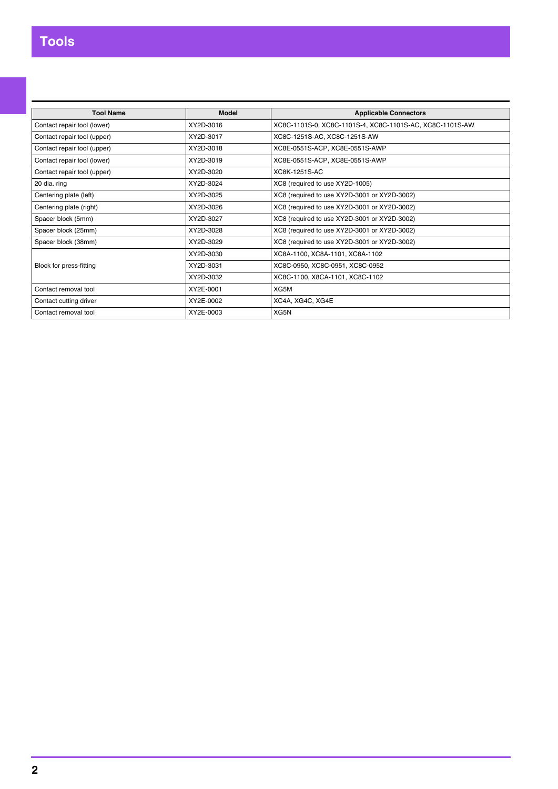| <b>Tool Name</b>            | Model     | <b>Applicable Connectors</b>                             |
|-----------------------------|-----------|----------------------------------------------------------|
| Contact repair tool (lower) | XY2D-3016 | XC8C-1101S-0, XC8C-1101S-4, XC8C-1101S-AC, XC8C-1101S-AW |
| Contact repair tool (upper) | XY2D-3017 | XC8C-1251S-AC, XC8C-1251S-AW                             |
| Contact repair tool (upper) | XY2D-3018 | XC8E-0551S-ACP, XC8E-0551S-AWP                           |
| Contact repair tool (lower) | XY2D-3019 | XC8E-0551S-ACP, XC8E-0551S-AWP                           |
| Contact repair tool (upper) | XY2D-3020 | XC8K-1251S-AC                                            |
| 20 dia. ring                | XY2D-3024 | XC8 (required to use XY2D-1005)                          |
| Centering plate (left)      | XY2D-3025 | XC8 (required to use XY2D-3001 or XY2D-3002)             |
| Centering plate (right)     | XY2D-3026 | XC8 (required to use XY2D-3001 or XY2D-3002)             |
| Spacer block (5mm)          | XY2D-3027 | XC8 (required to use XY2D-3001 or XY2D-3002)             |
| Spacer block (25mm)         | XY2D-3028 | XC8 (required to use XY2D-3001 or XY2D-3002)             |
| Spacer block (38mm)         | XY2D-3029 | XC8 (required to use XY2D-3001 or XY2D-3002)             |
|                             | XY2D-3030 | XC8A-1100, XC8A-1101, XC8A-1102                          |
| Block for press-fitting     | XY2D-3031 | XC8C-0950, XC8C-0951, XC8C-0952                          |
|                             | XY2D-3032 | XC8C-1100, X8CA-1101, XC8C-1102                          |
| Contact removal tool        | XY2E-0001 | XG5M                                                     |
| Contact cutting driver      | XY2E-0002 | XC4A, XG4C, XG4E                                         |
| Contact removal tool        | XY2E-0003 | XG5N                                                     |